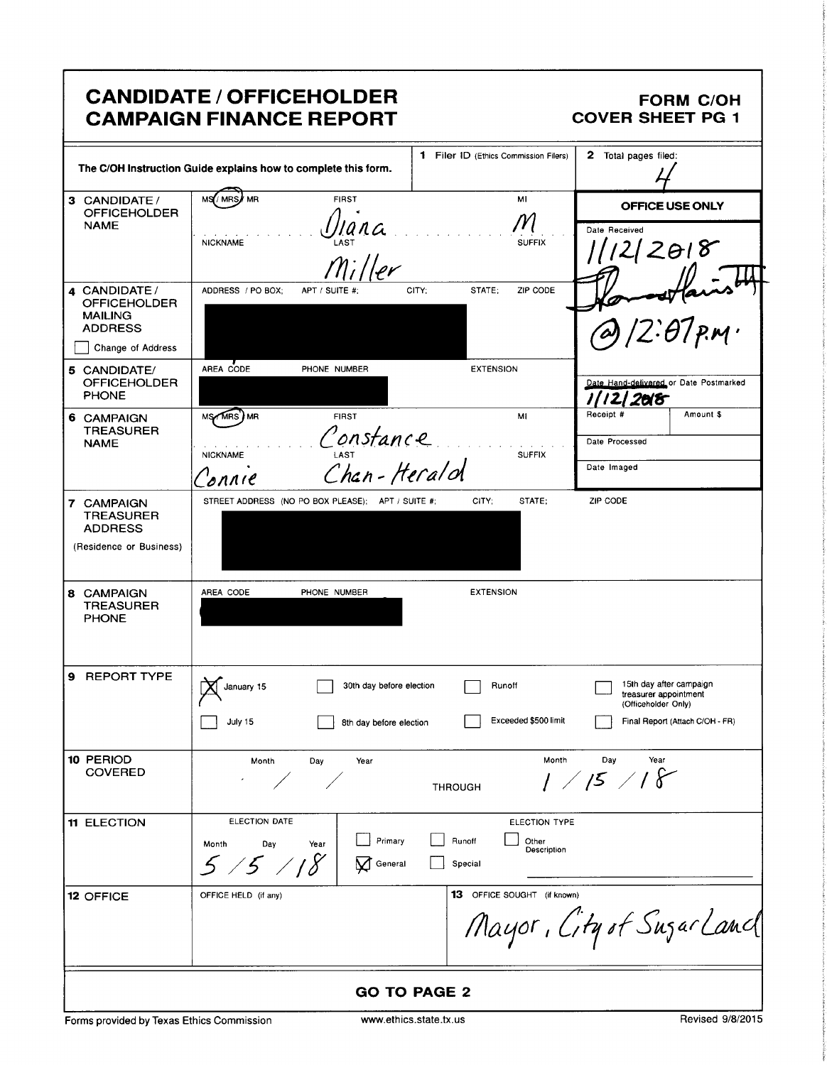# **CANDIDATE / OFFICEHOLDER CAMPAIGN FINANCE REPORT**

## **FORM C/OH COVER SHEET PG 1**

|                                                                                              | The C/OH Instruction Guide explains how to complete this form.                                       | 1 Filer ID (Ethics Commission Filers)                      | 2 Total pages filed:                                                                                       |
|----------------------------------------------------------------------------------------------|------------------------------------------------------------------------------------------------------|------------------------------------------------------------|------------------------------------------------------------------------------------------------------------|
| 3 CANDIDATE /<br><b>OFFICEHOLDER</b><br><b>NAME</b>                                          | MS/MRS<br><b>FIRST</b><br>' MR<br><b>NICKNAME</b><br>$m$ ;//er                                       | MI<br><b>SUFFIX</b>                                        | OFFICE USE ONLY<br>Date Received<br>1/12/2018                                                              |
| 4 CANDIDATE/<br><b>OFFICEHOLDER</b><br><b>MAILING</b><br><b>ADDRESS</b><br>Change of Address | ADDRESS / PO BOX;<br>APT / SUITE #:                                                                  | STATE;<br>ZIP CODE<br>CITY;                                | $12.07$ pm.                                                                                                |
| 5 CANDIDATE/<br><b>OFFICEHOLDER</b><br><b>PHONE</b>                                          | AREA CODE<br>PHONE NUMBER                                                                            | <b>EXTENSION</b>                                           | Date Hand-delivered or Date Postmarked<br>2018                                                             |
| 6 CAMPAIGN<br><b>TREASURER</b><br><b>NAME</b>                                                | MS/MRS <sup>'</sup> MR<br><b>FIRST</b><br>Constance<br>Chan - Heralol<br><b>NICKNAME</b><br>$b$ nnie | MI<br><b>SUFFIX</b>                                        | Receipt #<br>Amount \$<br>Date Processed<br>Date Imaged                                                    |
| 7 CAMPAIGN<br><b>TREASURER</b><br><b>ADDRESS</b><br>(Residence or Business)                  | STREET ADDRESS (NO PO BOX PLEASE); APT / SUITE #;                                                    | STATE:<br>CITY;                                            | ZIP CODE                                                                                                   |
| 8 CAMPAIGN<br><b>TREASURER</b><br><b>PHONE</b>                                               | AREA CODE<br>PHONE NUMBER                                                                            | <b>EXTENSION</b>                                           |                                                                                                            |
| 9 REPORT TYPE                                                                                | 30th day before election<br>January 15<br>July 15<br>8th day before election                         | Runoff<br>Exceeded \$500 limit                             | 15th day after campaign<br>treasurer appointment<br>(Officeholder Only)<br>Final Report (Attach C/OH - FR) |
| 10 PERIOD<br><b>COVERED</b>                                                                  | Month<br>Day<br>Year<br>$\overline{\phantom{a}}$<br>$\overline{\phantom{a}}$                         | Month<br><b>THROUGH</b>                                    | Day<br>Year<br>1 / 15 / 18                                                                                 |
| <b>11 ELECTION</b>                                                                           | ELECTION DATE<br>Primary<br>Month<br>Day<br>Year<br>5/5/18<br>General                                | ELECTION TYPE<br>Runoff<br>Other<br>Description<br>Special |                                                                                                            |
| 12 OFFICE                                                                                    | OFFICE HELD (if any)                                                                                 | <b>13</b> OFFICE SOUGHT (if known)                         | Mayor, City of Sugar Land                                                                                  |
|                                                                                              |                                                                                                      | <b>GO TO PAGE 2</b>                                        |                                                                                                            |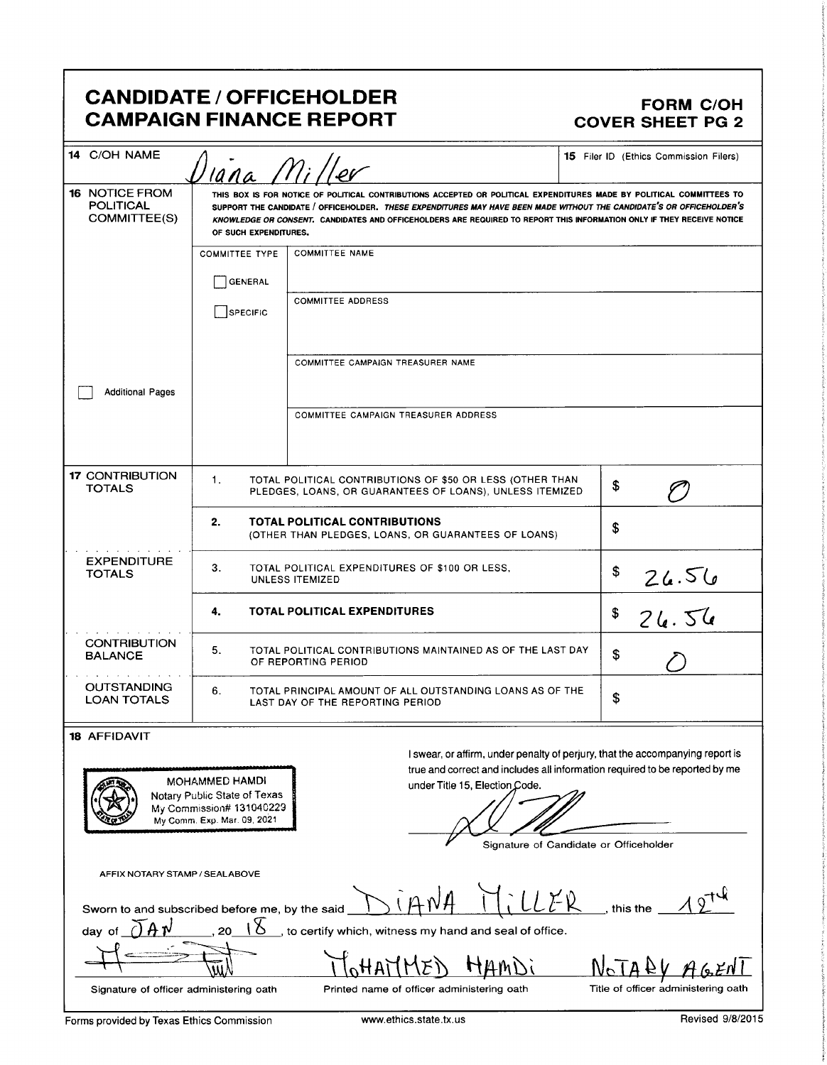# CANDIDATE / OFFICEHOLDER FORM C/OH CAMPAIGN FINANCE REPORT COVER SHEET PG 2

| <b>FORM C/OH</b><br><b>CAMPAIGN FINANCE REPORT</b><br><b>COVER SHEET PG 2</b><br>14 C/OH NAME<br>15 Filer ID (Ethics Commission Filers)<br>Diana Miller<br>THIS BOX IS FOR NOTICE OF POLITICAL CONTRIBUTIONS ACCEPTED OR POLITICAL EXPENDITURES MADE BY POLITICAL COMMITTEES TO<br>POLITICAL<br>COMMITTEE(S)<br>SUPPORT THE CANDIDATE / OFFICEHOLDER. THESE EXPENDITURES MAY HAVE BEEN MADE WITHOUT THE CANDIDATE'S OR OFFICEHOLDER'S<br>KNOWLEDGE OR CONSENT. CANDIDATES AND OFFICEHOLDERS ARE REQUIRED TO REPORT THIS INFORMATION ONLY IF THEY RECEIVE NOTICE<br>OF SUCH EXPENDITURES.<br>COMMITTEE TYPE COMMITTEE NAME<br>$\Box$ GENERAL<br>COMMITTEE ADDRESS<br>$\Box$ SPECIFIC<br>COMMITTEE CAMPAIGN TREASURER NAME<br>Additional Pages<br>COMMITTEE CAMPAIGN TREASURER ADDRESS<br>17 CONTRIBUTION<br>TOTAL POLITICAL CONTRIBUTIONS OF \$50 OR LESS (OTHER THAN<br>PLEDGES, LOANS, OR GUARANTEES OF LOANS), UNLESS ITEMIZED<br>$\mathcal O$<br><b>TOTALS</b><br>TOTAL POLITICAL CONTRIBUTIONS<br>(OTHER THAN PLEDGES, LOANS, OR GUARANTEES OF LOANS)<br>EXPENDITURE<br>TOTALS<br>TOTAL POLITICAL EXPENDITURES OF \$100 OR LESS,<br>26.56<br>UNLESS ITEMIZED<br>TOTAL POLITICAL EXPENDITURES<br>826.56<br><b>CONTRIBUTION<br/>BALANCE</b><br>TOTAL POLITICAL CONTRIBUTIONS MAINTAINED AS OF THE LAST DAY<br>the company of the company of<br>OUTSTANDING<br>LOAN TOTALS<br>TOTAL PRINCIPAL AMOUNT OF ALL OUTSTANDING LOANS AS OF THE<br>LAST DAY OF THE REPORTING PERIOD<br>I swear, or affirm, under penalty of perjury, that the accompanying report is<br>true and correct and includes all information required to be reported by me<br><u>LODOGODAJO (ODDAGODAJNA DA D</u><br>MOHAMMED HAMDI<br>Notary Public State of Texas<br>My Commission# 131040229<br>My Commi Exp. Mar. 09, 2021<br>under Title 15, Election Code.<br>$\sim$<br>$\overline{\phantom{a}}$<br>Signature of Candidate or Officeholder<br>AFFIX NOTARY STAMP / SEALABOVE |  |  |  |  |  |  |
|------------------------------------------------------------------------------------------------------------------------------------------------------------------------------------------------------------------------------------------------------------------------------------------------------------------------------------------------------------------------------------------------------------------------------------------------------------------------------------------------------------------------------------------------------------------------------------------------------------------------------------------------------------------------------------------------------------------------------------------------------------------------------------------------------------------------------------------------------------------------------------------------------------------------------------------------------------------------------------------------------------------------------------------------------------------------------------------------------------------------------------------------------------------------------------------------------------------------------------------------------------------------------------------------------------------------------------------------------------------------------------------------------------------------------------------------------------------------------------------------------------------------------------------------------------------------------------------------------------------------------------------------------------------------------------------------------------------------------------------------------------------------------------------------------------------------------------------------------------------------------------------------------------------------------------------------------|--|--|--|--|--|--|
| CANDIDATE / OFFICEHOLDER<br>$16$ NOTICE FROM $'$<br>8 AFFIDAVIT<br>Sworn to and subscribed before me, by the said $\Delta$ $\hat{H}$ $\hat{H}$ $\hat{H}$ $\hat{H}$ $\hat{H}$ $\hat{H}$ $\hat{H}$ $\hat{H}$ $\hat{H}$ $\hat{H}$ $\hat{H}$ $\hat{H}$ $\hat{H}$ $\hat{H}$ $\hat{H}$ $\hat{H}$ $\hat{H}$ $\hat{H}$ $\hat{H}$ $\hat{H}$ $\hat{H}$                                                                                                                                                                                                                                                                                                                                                                                                                                                                                                                                                                                                                                                                                                                                                                                                                                                                                                                                                                                                                                                                                                                                                                                                                                                                                                                                                                                                                                                                                                                                                                                                         |  |  |  |  |  |  |
|                                                                                                                                                                                                                                                                                                                                                                                                                                                                                                                                                                                                                                                                                                                                                                                                                                                                                                                                                                                                                                                                                                                                                                                                                                                                                                                                                                                                                                                                                                                                                                                                                                                                                                                                                                                                                                                                                                                                                      |  |  |  |  |  |  |
|                                                                                                                                                                                                                                                                                                                                                                                                                                                                                                                                                                                                                                                                                                                                                                                                                                                                                                                                                                                                                                                                                                                                                                                                                                                                                                                                                                                                                                                                                                                                                                                                                                                                                                                                                                                                                                                                                                                                                      |  |  |  |  |  |  |
|                                                                                                                                                                                                                                                                                                                                                                                                                                                                                                                                                                                                                                                                                                                                                                                                                                                                                                                                                                                                                                                                                                                                                                                                                                                                                                                                                                                                                                                                                                                                                                                                                                                                                                                                                                                                                                                                                                                                                      |  |  |  |  |  |  |
|                                                                                                                                                                                                                                                                                                                                                                                                                                                                                                                                                                                                                                                                                                                                                                                                                                                                                                                                                                                                                                                                                                                                                                                                                                                                                                                                                                                                                                                                                                                                                                                                                                                                                                                                                                                                                                                                                                                                                      |  |  |  |  |  |  |
|                                                                                                                                                                                                                                                                                                                                                                                                                                                                                                                                                                                                                                                                                                                                                                                                                                                                                                                                                                                                                                                                                                                                                                                                                                                                                                                                                                                                                                                                                                                                                                                                                                                                                                                                                                                                                                                                                                                                                      |  |  |  |  |  |  |
|                                                                                                                                                                                                                                                                                                                                                                                                                                                                                                                                                                                                                                                                                                                                                                                                                                                                                                                                                                                                                                                                                                                                                                                                                                                                                                                                                                                                                                                                                                                                                                                                                                                                                                                                                                                                                                                                                                                                                      |  |  |  |  |  |  |
|                                                                                                                                                                                                                                                                                                                                                                                                                                                                                                                                                                                                                                                                                                                                                                                                                                                                                                                                                                                                                                                                                                                                                                                                                                                                                                                                                                                                                                                                                                                                                                                                                                                                                                                                                                                                                                                                                                                                                      |  |  |  |  |  |  |
|                                                                                                                                                                                                                                                                                                                                                                                                                                                                                                                                                                                                                                                                                                                                                                                                                                                                                                                                                                                                                                                                                                                                                                                                                                                                                                                                                                                                                                                                                                                                                                                                                                                                                                                                                                                                                                                                                                                                                      |  |  |  |  |  |  |
|                                                                                                                                                                                                                                                                                                                                                                                                                                                                                                                                                                                                                                                                                                                                                                                                                                                                                                                                                                                                                                                                                                                                                                                                                                                                                                                                                                                                                                                                                                                                                                                                                                                                                                                                                                                                                                                                                                                                                      |  |  |  |  |  |  |
|                                                                                                                                                                                                                                                                                                                                                                                                                                                                                                                                                                                                                                                                                                                                                                                                                                                                                                                                                                                                                                                                                                                                                                                                                                                                                                                                                                                                                                                                                                                                                                                                                                                                                                                                                                                                                                                                                                                                                      |  |  |  |  |  |  |
|                                                                                                                                                                                                                                                                                                                                                                                                                                                                                                                                                                                                                                                                                                                                                                                                                                                                                                                                                                                                                                                                                                                                                                                                                                                                                                                                                                                                                                                                                                                                                                                                                                                                                                                                                                                                                                                                                                                                                      |  |  |  |  |  |  |
|                                                                                                                                                                                                                                                                                                                                                                                                                                                                                                                                                                                                                                                                                                                                                                                                                                                                                                                                                                                                                                                                                                                                                                                                                                                                                                                                                                                                                                                                                                                                                                                                                                                                                                                                                                                                                                                                                                                                                      |  |  |  |  |  |  |
|                                                                                                                                                                                                                                                                                                                                                                                                                                                                                                                                                                                                                                                                                                                                                                                                                                                                                                                                                                                                                                                                                                                                                                                                                                                                                                                                                                                                                                                                                                                                                                                                                                                                                                                                                                                                                                                                                                                                                      |  |  |  |  |  |  |
|                                                                                                                                                                                                                                                                                                                                                                                                                                                                                                                                                                                                                                                                                                                                                                                                                                                                                                                                                                                                                                                                                                                                                                                                                                                                                                                                                                                                                                                                                                                                                                                                                                                                                                                                                                                                                                                                                                                                                      |  |  |  |  |  |  |
|                                                                                                                                                                                                                                                                                                                                                                                                                                                                                                                                                                                                                                                                                                                                                                                                                                                                                                                                                                                                                                                                                                                                                                                                                                                                                                                                                                                                                                                                                                                                                                                                                                                                                                                                                                                                                                                                                                                                                      |  |  |  |  |  |  |
|                                                                                                                                                                                                                                                                                                                                                                                                                                                                                                                                                                                                                                                                                                                                                                                                                                                                                                                                                                                                                                                                                                                                                                                                                                                                                                                                                                                                                                                                                                                                                                                                                                                                                                                                                                                                                                                                                                                                                      |  |  |  |  |  |  |
| day of $\widecheck{\bigcup}A\,n'$ , 20 $\bot\overline{\mathcal{S}}$ , to certify which, witness my hand and seal of office.<br>$\sim$ $\sim$<br>$\begin{picture}(120,1111) \put(150,11111) \put(150,11111) \put(150,11111) \put(150,11111) \put(150,11111) \put(150,11111) \put(150,11111) \put(150,11111) \put(150,11111) \put(150,11111) \put(150,11111) \put(150,11111) \put(150,11111) \put(150,11111) \put(150,11111) \put(150,1111$<br>MOHAMMED HAMDI<br>NOTALY AGENT                                                                                                                                                                                                                                                                                                                                                                                                                                                                                                                                                                                                                                                                                                                                                                                                                                                                                                                                                                                                                                                                                                                                                                                                                                                                                                                                                                                                                                                                          |  |  |  |  |  |  |
| Title of officer administering oath<br>Printed name of officer administering oath<br>Signature of officer administering oath<br>Revised 9/8/2015<br>Forms provided by Texas Ethics Commission<br>www.ethics.state.tx.us                                                                                                                                                                                                                                                                                                                                                                                                                                                                                                                                                                                                                                                                                                                                                                                                                                                                                                                                                                                                                                                                                                                                                                                                                                                                                                                                                                                                                                                                                                                                                                                                                                                                                                                              |  |  |  |  |  |  |
|                                                                                                                                                                                                                                                                                                                                                                                                                                                                                                                                                                                                                                                                                                                                                                                                                                                                                                                                                                                                                                                                                                                                                                                                                                                                                                                                                                                                                                                                                                                                                                                                                                                                                                                                                                                                                                                                                                                                                      |  |  |  |  |  |  |

### 18 AFFIDAVIT



 $\overline{a}$ 

Signature of Candidate or Officeholder

1/4(y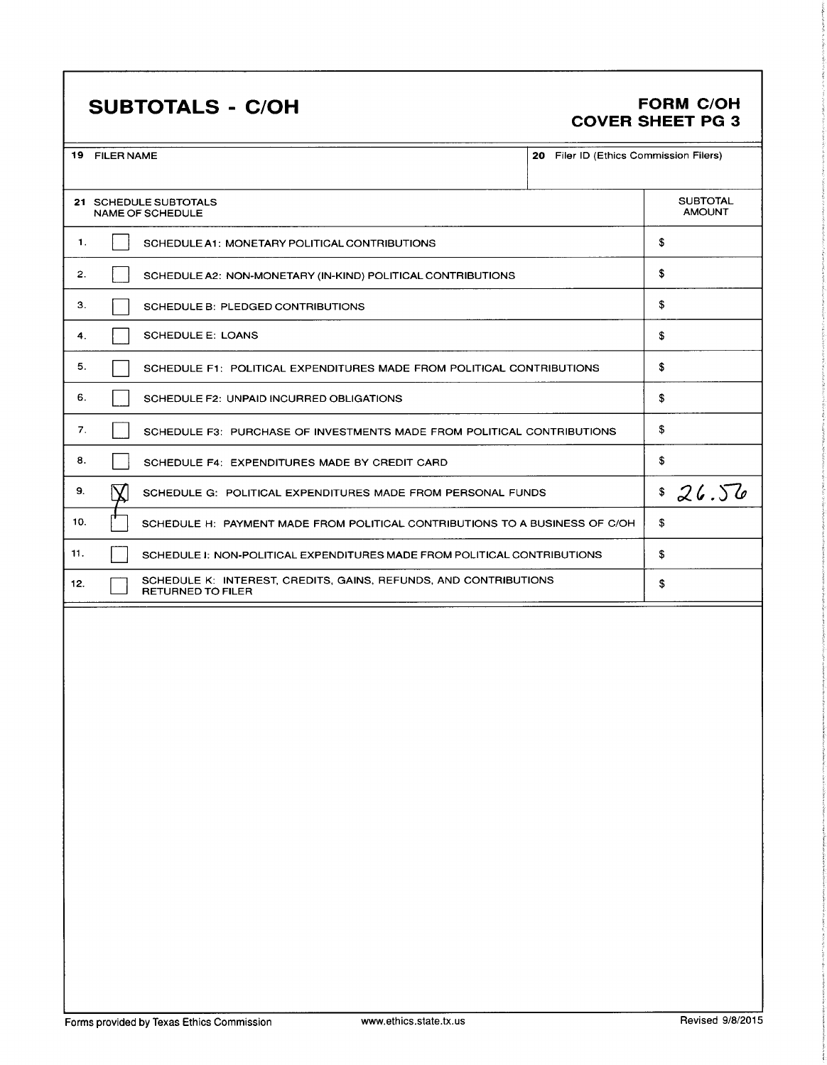# SUBTOTALS - C/OH FORM C/OH

# COVER SHEET PG 3

| 19 | <b>FILER NAME</b> |  |
|----|-------------------|--|

|     | 19 FILER NAME                                    | 20 Filer ID (Ethics Commission Filers)                                                       |                                  |    |       |
|-----|--------------------------------------------------|----------------------------------------------------------------------------------------------|----------------------------------|----|-------|
|     | 21 SCHEDULE SUBTOTALS<br><b>NAME OF SCHEDULE</b> |                                                                                              | <b>SUBTOTAL</b><br><b>AMOUNT</b> |    |       |
| -1. |                                                  | SCHEDULE A1: MONETARY POLITICAL CONTRIBUTIONS                                                |                                  | \$ |       |
| 2.  |                                                  | SCHEDULE A2: NON-MONETARY (IN-KIND) POLITICAL CONTRIBUTIONS                                  |                                  | \$ |       |
| 3.  |                                                  | SCHEDULE B: PLEDGED CONTRIBUTIONS                                                            |                                  | \$ |       |
| 4.  |                                                  | <b>SCHEDULE E: LOANS</b>                                                                     |                                  | \$ |       |
| 5.  |                                                  | SCHEDULE F1: POLITICAL EXPENDITURES MADE FROM POLITICAL CONTRIBUTIONS                        |                                  | \$ |       |
| 6.  |                                                  | SCHEDULE F2: UNPAID INCURRED OBLIGATIONS                                                     |                                  | \$ |       |
| 7.  |                                                  | SCHEDULE F3: PURCHASE OF INVESTMENTS MADE FROM POLITICAL CONTRIBUTIONS                       |                                  | \$ |       |
| 8.  |                                                  | SCHEDULE F4: EXPENDITURES MADE BY CREDIT CARD                                                |                                  | \$ |       |
| 9.  |                                                  | SCHEDULE G: POLITICAL EXPENDITURES MADE FROM PERSONAL FUNDS                                  |                                  | \$ | 26.56 |
| 10. |                                                  | SCHEDULE H: PAYMENT MADE FROM POLITICAL CONTRIBUTIONS TO A BUSINESS OF C/OH                  |                                  | \$ |       |
| 11. |                                                  | SCHEDULE I: NON-POLITICAL EXPENDITURES MADE FROM POLITICAL CONTRIBUTIONS                     |                                  | \$ |       |
| 12. |                                                  | SCHEDULE K: INTEREST, CREDITS, GAINS, REFUNDS, AND CONTRIBUTIONS<br><b>RETURNED TO FILER</b> |                                  | \$ |       |
|     |                                                  |                                                                                              |                                  |    |       |